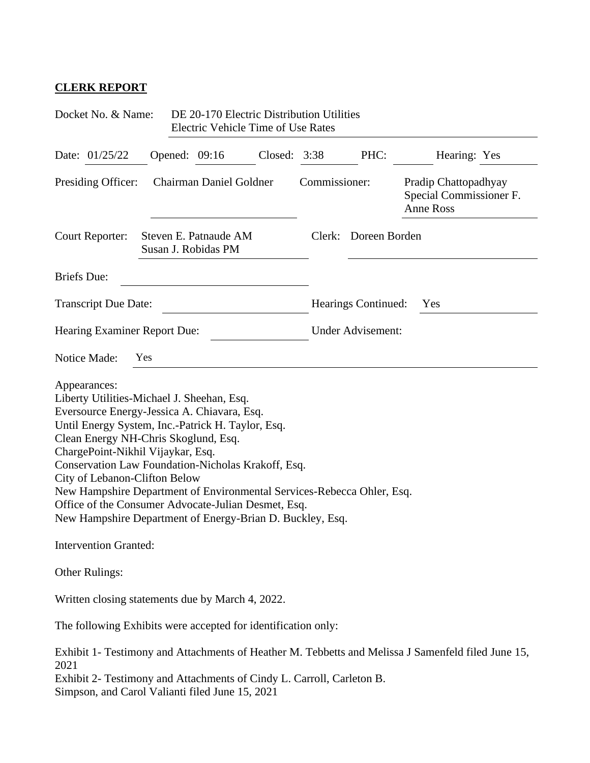## **CLERK REPORT**

| Docket No. & Name:                                                                                                                                                                                                                                                                                                                                                                                                                                                                                                               |     |  | DE 20-170 Electric Distribution Utilities<br><b>Electric Vehicle Time of Use Rates</b> |         |                            |                          |                                                                                                    |  |
|----------------------------------------------------------------------------------------------------------------------------------------------------------------------------------------------------------------------------------------------------------------------------------------------------------------------------------------------------------------------------------------------------------------------------------------------------------------------------------------------------------------------------------|-----|--|----------------------------------------------------------------------------------------|---------|----------------------------|--------------------------|----------------------------------------------------------------------------------------------------|--|
| Date: 01/25/22                                                                                                                                                                                                                                                                                                                                                                                                                                                                                                                   |     |  | Opened: 09:16                                                                          | Closed: | 3:38                       | PHC:                     | Hearing: Yes                                                                                       |  |
| Presiding Officer:                                                                                                                                                                                                                                                                                                                                                                                                                                                                                                               |     |  | Chairman Daniel Goldner                                                                |         | Commissioner:              |                          | Pradip Chattopadhyay<br>Special Commissioner F.<br><b>Anne Ross</b>                                |  |
| Court Reporter:                                                                                                                                                                                                                                                                                                                                                                                                                                                                                                                  |     |  | Steven E. Patnaude AM<br>Susan J. Robidas PM                                           |         | Clerk:                     | Doreen Borden            |                                                                                                    |  |
| <b>Briefs</b> Due:                                                                                                                                                                                                                                                                                                                                                                                                                                                                                                               |     |  |                                                                                        |         |                            |                          |                                                                                                    |  |
| <b>Transcript Due Date:</b>                                                                                                                                                                                                                                                                                                                                                                                                                                                                                                      |     |  |                                                                                        |         | Hearings Continued:<br>Yes |                          |                                                                                                    |  |
| Hearing Examiner Report Due:                                                                                                                                                                                                                                                                                                                                                                                                                                                                                                     |     |  |                                                                                        |         |                            | <b>Under Advisement:</b> |                                                                                                    |  |
| Notice Made:                                                                                                                                                                                                                                                                                                                                                                                                                                                                                                                     | Yes |  |                                                                                        |         |                            |                          |                                                                                                    |  |
| Appearances:<br>Liberty Utilities-Michael J. Sheehan, Esq.<br>Eversource Energy-Jessica A. Chiavara, Esq.<br>Until Energy System, Inc.-Patrick H. Taylor, Esq.<br>Clean Energy NH-Chris Skoglund, Esq.<br>ChargePoint-Nikhil Vijaykar, Esq.<br>Conservation Law Foundation-Nicholas Krakoff, Esq.<br>City of Lebanon-Clifton Below<br>New Hampshire Department of Environmental Services-Rebecca Ohler, Esq.<br>Office of the Consumer Advocate-Julian Desmet, Esq.<br>New Hampshire Department of Energy-Brian D. Buckley, Esq. |     |  |                                                                                        |         |                            |                          |                                                                                                    |  |
| <b>Intervention Granted:</b>                                                                                                                                                                                                                                                                                                                                                                                                                                                                                                     |     |  |                                                                                        |         |                            |                          |                                                                                                    |  |
| Other Rulings:                                                                                                                                                                                                                                                                                                                                                                                                                                                                                                                   |     |  |                                                                                        |         |                            |                          |                                                                                                    |  |
| Written closing statements due by March 4, 2022.                                                                                                                                                                                                                                                                                                                                                                                                                                                                                 |     |  |                                                                                        |         |                            |                          |                                                                                                    |  |
| The following Exhibits were accepted for identification only:                                                                                                                                                                                                                                                                                                                                                                                                                                                                    |     |  |                                                                                        |         |                            |                          |                                                                                                    |  |
| 2021<br>Exhibit 2- Testimony and Attachments of Cindy L. Carroll, Carleton B.<br>Simpson, and Carol Valianti filed June 15, 2021                                                                                                                                                                                                                                                                                                                                                                                                 |     |  |                                                                                        |         |                            |                          | Exhibit 1- Testimony and Attachments of Heather M. Tebbetts and Melissa J Samenfeld filed June 15, |  |